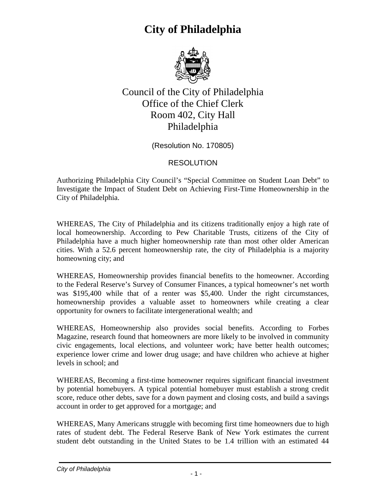

Council of the City of Philadelphia Office of the Chief Clerk Room 402, City Hall Philadelphia

(Resolution No. 170805)

#### RESOLUTION

Authorizing Philadelphia City Council's "Special Committee on Student Loan Debt" to Investigate the Impact of Student Debt on Achieving First-Time Homeownership in the City of Philadelphia.

WHEREAS, The City of Philadelphia and its citizens traditionally enjoy a high rate of local homeownership. According to Pew Charitable Trusts, citizens of the City of Philadelphia have a much higher homeownership rate than most other older American cities. With a 52.6 percent homeownership rate, the city of Philadelphia is a majority homeowning city; and

WHEREAS, Homeownership provides financial benefits to the homeowner. According to the Federal Reserve's Survey of Consumer Finances, a typical homeowner's net worth was \$195,400 while that of a renter was \$5,400. Under the right circumstances, homeownership provides a valuable asset to homeowners while creating a clear opportunity for owners to facilitate intergenerational wealth; and

WHEREAS, Homeownership also provides social benefits. According to Forbes Magazine, research found that homeowners are more likely to be involved in community civic engagements, local elections, and volunteer work; have better health outcomes; experience lower crime and lower drug usage; and have children who achieve at higher levels in school; and

WHEREAS, Becoming a first-time homeowner requires significant financial investment by potential homebuyers. A typical potential homebuyer must establish a strong credit score, reduce other debts, save for a down payment and closing costs, and build a savings account in order to get approved for a mortgage; and

WHEREAS, Many Americans struggle with becoming first time homeowners due to high rates of student debt. The Federal Reserve Bank of New York estimates the current student debt outstanding in the United States to be 1.4 trillion with an estimated 44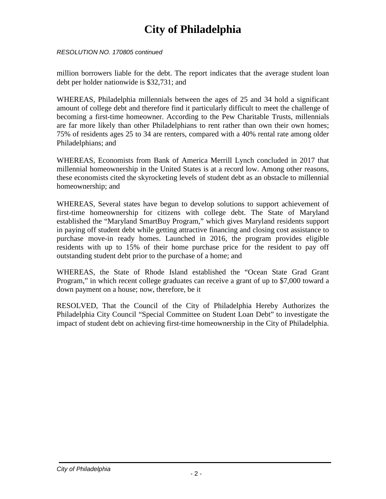*RESOLUTION NO. 170805 continued*

million borrowers liable for the debt. The report indicates that the average student loan debt per holder nationwide is \$32,731; and

WHEREAS, Philadelphia millennials between the ages of 25 and 34 hold a significant amount of college debt and therefore find it particularly difficult to meet the challenge of becoming a first-time homeowner. According to the Pew Charitable Trusts, millennials are far more likely than other Philadelphians to rent rather than own their own homes; 75% of residents ages 25 to 34 are renters, compared with a 40% rental rate among older Philadelphians; and

WHEREAS, Economists from Bank of America Merrill Lynch concluded in 2017 that millennial homeownership in the United States is at a record low. Among other reasons, these economists cited the skyrocketing levels of student debt as an obstacle to millennial homeownership; and

WHEREAS, Several states have begun to develop solutions to support achievement of first-time homeownership for citizens with college debt. The State of Maryland established the "Maryland SmartBuy Program," which gives Maryland residents support in paying off student debt while getting attractive financing and closing cost assistance to purchase move-in ready homes. Launched in 2016, the program provides eligible residents with up to 15% of their home purchase price for the resident to pay off outstanding student debt prior to the purchase of a home; and

WHEREAS, the State of Rhode Island established the "Ocean State Grad Grant Program," in which recent college graduates can receive a grant of up to \$7,000 toward a down payment on a house; now, therefore, be it

RESOLVED, That the Council of the City of Philadelphia Hereby Authorizes the Philadelphia City Council "Special Committee on Student Loan Debt" to investigate the impact of student debt on achieving first-time homeownership in the City of Philadelphia.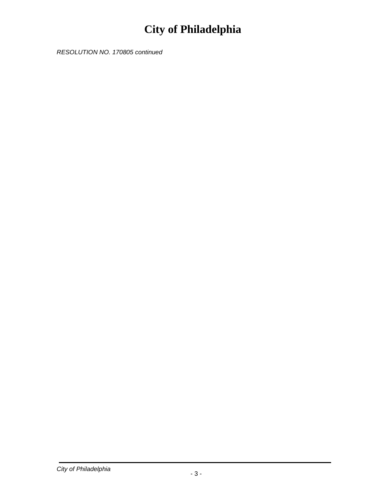*RESOLUTION NO. 170805 continued*